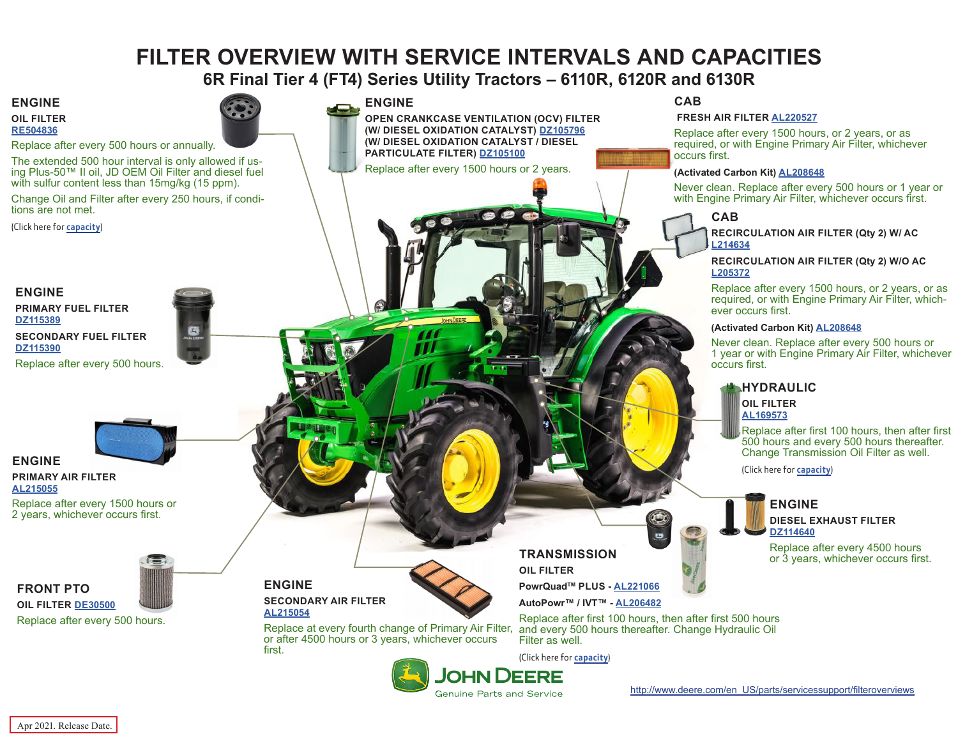# **FILTER OVERVIEW WITH SERVICE INTERVALS AND CAPACITIES**

**6R Final Tier 4 (FT4) Series Utility Tractors – 6110R, 6120R and 6130R**

**ENGINE**

**OIL FILTER [RE504836](https://jdparts.deere.com/servlet/com.deere.u90.jdparts.view.servlets.partinfocontroller.PartDetails?screenName=JDSearch&&partSearchNumber=RE504836)**

Replace after every 500 hours or annually.

The extended 500 hour interval is only allowed if us- ing Plus-50™ II oil, JD OEM Oil Filter and diesel fuel with sulfur content less than 15mg/kg (15 ppm).

Change Oil and Filter after every 250 hours, if conditions are not met.

(Click here for **[capacity](#page-1-0)**)

### **ENGINE**

**PRIMARY FUEL FILTER [DZ115389](https://jdparts.deere.com/servlet/com.deere.u90.jdparts.view.servlets.partinfocontroller.PartDetails?screenName=JDSearch&&partSearchNumber=DZ115389) SECONDARY FUEL FILTER [DZ115390](https://jdparts.deere.com/servlet/com.deere.u90.jdparts.view.servlets.partinfocontroller.PartDetails?screenName=JDSearch&&partSearchNumber=DZ115390)**

Replace after every 500 hours.



#### **ENGINE PRIMARY AIR FILTER [AL215055](https://jdparts.deere.com/servlet/com.deere.u90.jdparts.view.servlets.partinfocontroller.PartDetails?screenName=JDSearch&&partSearchNumber=AL215055)**

**FRONT PTO**

Replace after every 1500 hours or 2 years, whichever occurs first.



**OIL FILTER [DE30500](https://jdparts.deere.com/servlet/com.deere.u90.jdparts.view.servlets.partinfocontroller.PartDetails?screenName=JDSearch&&partSearchNumber=DE30500)** Replace after every 500 hours.



**ENGINE**

**OPEN CRANKCASE VENTILATION (OCV) FILTER (W/ DIESEL OXIDATION CATALYST) [DZ105796](https://jdparts.deere.com/servlet/com.deere.u90.jdparts.view.servlets.partinfocontroller.PartDetails?screenName=JDSearch&&partSearchNumber=DZ105796) (W/ DIESEL OXIDATION CATALYST / DIESEL PARTICULATE FILTER) [DZ105100](https://jdparts.deere.com/servlet/com.deere.u90.jdparts.view.servlets.partinfocontroller.PartDetails?screenName=JDSearch&&partSearchNumber=DZ105100)**

Replace after every 1500 hours or 2 years.

**CAB**

 **FRESH AIR FILTER [AL220527](https://jdparts.deere.com/servlet/com.deere.u90.jdparts.view.servlets.partinfocontroller.PartDetails?screenName=JDSearch&&partSearchNumber=AL220527)**

Replace after every 1500 hours, or 2 years, or as required, or with Engine Primary Air Filter, whichever occurs first.

#### **(Activated Carbon Kit) [AL208648](https://jdparts.deere.com/servlet/com.deere.u90.jdparts.view.servlets.partinfocontroller.PartDetails?screenName=JDSearch&&partSearchNumber=AL208648)**

Never clean. Replace after every 500 hours or 1 year or with Engine Primary Air Filter, whichever occurs first.

### **CAB**

**RECIRCULATION AIR FILTER (Qty 2) W/ AC [L214634](https://jdparts.deere.com/servlet/com.deere.u90.jdparts.view.servlets.partinfocontroller.PartDetails?screenName=JDSearch&&partSearchNumber=L214634)**

**RECIRCULATION AIR FILTER (Qty 2) W/O AC [L205372](https://jdparts.deere.com/servlet/com.deere.u90.jdparts.view.servlets.partinfocontroller.PartDetails?screenName=JDSearch&&partSearchNumber=L205372)**

Replace after every 1500 hours, or 2 years, or as required, or with Engine Primary Air Filter, whichever occurs first.

#### **(Activated Carbon Kit) [AL208648](https://jdparts.deere.com/servlet/com.deere.u90.jdparts.view.servlets.partinfocontroller.PartDetails?screenName=JDSearch&&partSearchNumber=AL208648)**

Never clean. Replace after every 500 hours or 1 year or with Engine Primary Air Filter, whichever occurs first.

# **HYDRAULIC**

**OIL FILTER [AL169573](https://jdparts.deere.com/servlet/com.deere.u90.jdparts.view.servlets.partinfocontroller.PartDetails?screenName=JDSearch&&partSearchNumber=AL169573)**

Replace after first 100 hours, then after first 500 hours and every 500 hours thereafter. Change Transmission Oil Filter as well.

(Click here for **[capacity](#page-1-0)**)

## **ENGINE DIESEL EXHAUST FILTER [DZ114640](https://jdparts.deere.com/servlet/com.deere.u90.jdparts.view.servlets.partinfocontroller.PartDetails?screenName=JDSearch&&partSearchNumber=DZ114640)**

Replace after every 4500 hours or 3 years, whichever occurs first.

**ENGINE SECONDARY AIR FILTER [AL215054](https://jdparts.deere.com/servlet/com.deere.u90.jdparts.view.servlets.partinfocontroller.PartDetails?screenName=JDSearch&&partSearchNumber=AL215054)**



**TRANSMISSION OIL FILTER**

**PowrQuadTM PLUS - [AL221066](https://jdparts.deere.com/servlet/com.deere.u90.jdparts.view.servlets.partinfocontroller.PartDetails?screenName=JDSearch&&partSearchNumber=AL221066)**

**AutoPowr™ / IVT™ - [AL206482](https://jdparts.deere.com/servlet/com.deere.u90.jdparts.view.servlets.partinfocontroller.PartDetails?screenName=JDSearch&&partSearchNumber=AL206482)**

Replace after first 100 hours, then after first 500 hours and every 500 hours thereafter. Change Hydraulic Oil Filter as well.

(Click here for **[capacity](#page-1-0)**)



**JOHN DEERE** 

**Genuine Parts and Service** 



Apr 2021. Release Date.